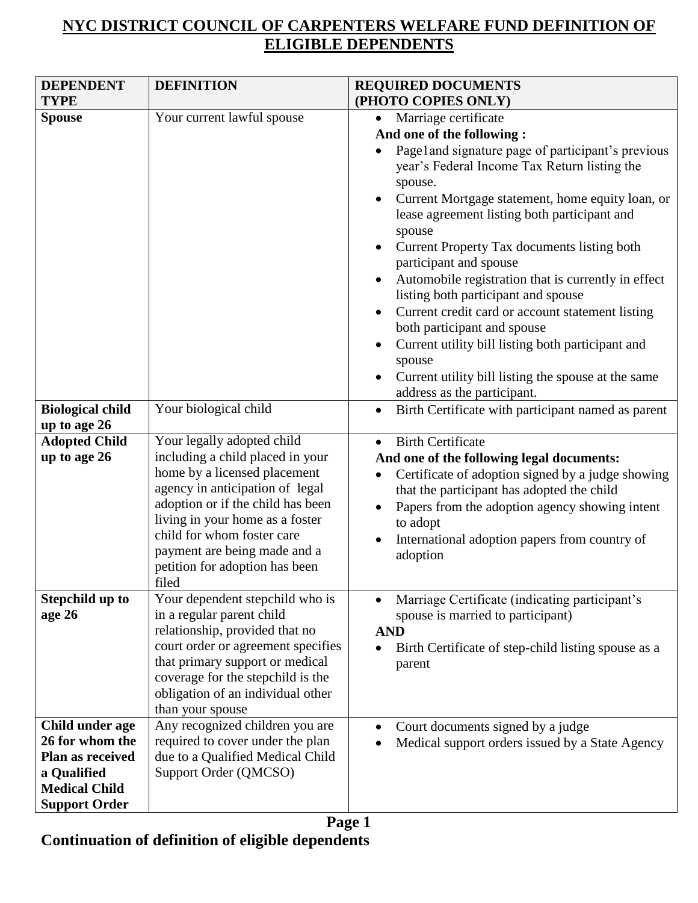## **NYC DISTRICT COUNCIL OF CARPENTERS WELFARE FUND DEFINITION OF ELIGIBLE DEPENDENTS**

| <b>DEPENDENT</b><br><b>TYPE</b>                                                                                       | <b>DEFINITION</b>                                                                                                                                                                                                                                                                                                  | <b>REQUIRED DOCUMENTS</b><br>(PHOTO COPIES ONLY)                                                                                                                                                                                                                                                                                                                                                                                                                                                                                                                                                                                                                                                                                                                  |
|-----------------------------------------------------------------------------------------------------------------------|--------------------------------------------------------------------------------------------------------------------------------------------------------------------------------------------------------------------------------------------------------------------------------------------------------------------|-------------------------------------------------------------------------------------------------------------------------------------------------------------------------------------------------------------------------------------------------------------------------------------------------------------------------------------------------------------------------------------------------------------------------------------------------------------------------------------------------------------------------------------------------------------------------------------------------------------------------------------------------------------------------------------------------------------------------------------------------------------------|
| <b>Spouse</b><br><b>Biological child</b>                                                                              | Your current lawful spouse<br>Your biological child                                                                                                                                                                                                                                                                | Marriage certificate<br>$\bullet$<br>And one of the following:<br>Page1and signature page of participant's previous<br>year's Federal Income Tax Return listing the<br>spouse.<br>Current Mortgage statement, home equity loan, or<br>lease agreement listing both participant and<br>spouse<br>Current Property Tax documents listing both<br>participant and spouse<br>Automobile registration that is currently in effect<br>listing both participant and spouse<br>Current credit card or account statement listing<br>both participant and spouse<br>Current utility bill listing both participant and<br>spouse<br>Current utility bill listing the spouse at the same<br>address as the participant.<br>Birth Certificate with participant named as parent |
| up to age 26                                                                                                          |                                                                                                                                                                                                                                                                                                                    |                                                                                                                                                                                                                                                                                                                                                                                                                                                                                                                                                                                                                                                                                                                                                                   |
| <b>Adopted Child</b><br>up to age 26                                                                                  | Your legally adopted child<br>including a child placed in your<br>home by a licensed placement<br>agency in anticipation of legal<br>adoption or if the child has been<br>living in your home as a foster<br>child for whom foster care<br>payment are being made and a<br>petition for adoption has been<br>filed | <b>Birth Certificate</b><br>And one of the following legal documents:<br>Certificate of adoption signed by a judge showing<br>that the participant has adopted the child<br>Papers from the adoption agency showing intent<br>to adopt<br>International adoption papers from country of<br>adoption                                                                                                                                                                                                                                                                                                                                                                                                                                                               |
| Stepchild up to<br>age 26                                                                                             | Your dependent stepchild who is<br>in a regular parent child<br>relationship, provided that no<br>court order or agreement specifies<br>that primary support or medical<br>coverage for the stepchild is the<br>obligation of an individual other<br>than your spouse                                              | Marriage Certificate (indicating participant's<br>spouse is married to participant)<br><b>AND</b><br>Birth Certificate of step-child listing spouse as a<br>parent                                                                                                                                                                                                                                                                                                                                                                                                                                                                                                                                                                                                |
| Child under age<br>26 for whom the<br>Plan as received<br>a Qualified<br><b>Medical Child</b><br><b>Support Order</b> | Any recognized children you are<br>required to cover under the plan<br>due to a Qualified Medical Child<br>Support Order (QMCSO)                                                                                                                                                                                   | Court documents signed by a judge<br>Medical support orders issued by a State Agency                                                                                                                                                                                                                                                                                                                                                                                                                                                                                                                                                                                                                                                                              |